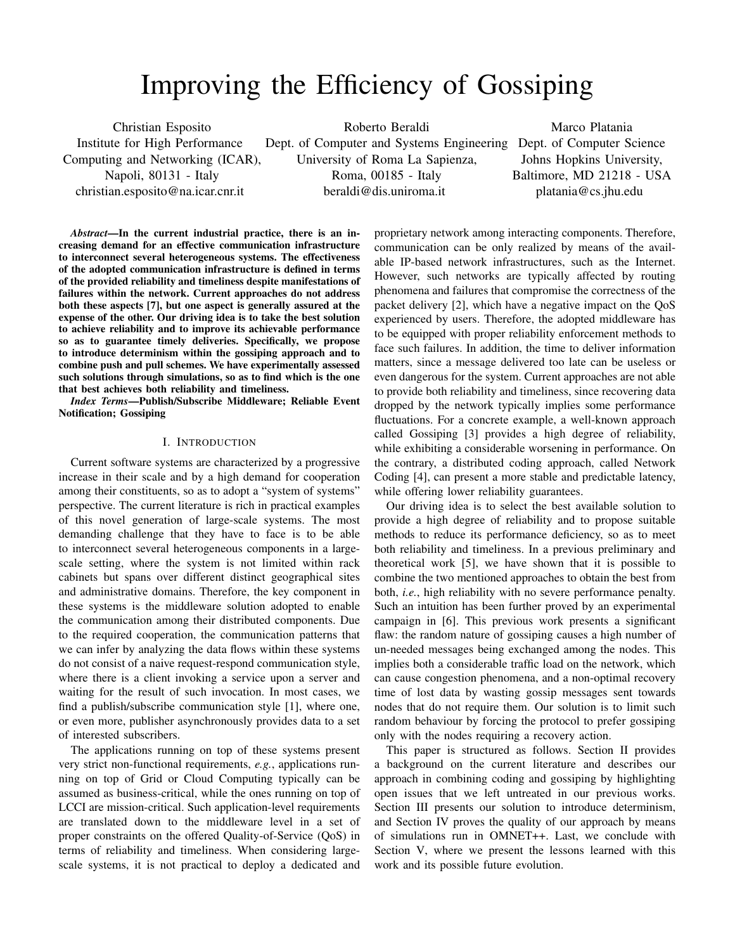# Improving the Efficiency of Gossiping

Christian Esposito Institute for High Performance Computing and Networking (ICAR), Napoli, 80131 - Italy christian.esposito@na.icar.cnr.it

Roberto Beraldi Dept. of Computer and Systems Engineering Dept. of Computer Science University of Roma La Sapienza, Roma, 00185 - Italy beraldi@dis.uniroma.it

Marco Platania Johns Hopkins University, Baltimore, MD 21218 - USA platania@cs.jhu.edu

*Abstract*—In the current industrial practice, there is an increasing demand for an effective communication infrastructure to interconnect several heterogeneous systems. The effectiveness of the adopted communication infrastructure is defined in terms of the provided reliability and timeliness despite manifestations of failures within the network. Current approaches do not address both these aspects [7], but one aspect is generally assured at the expense of the other. Our driving idea is to take the best solution to achieve reliability and to improve its achievable performance so as to guarantee timely deliveries. Specifically, we propose to introduce determinism within the gossiping approach and to combine push and pull schemes. We have experimentally assessed such solutions through simulations, so as to find which is the one that best achieves both reliability and timeliness.

*Index Terms*—Publish/Subscribe Middleware; Reliable Event Notification; Gossiping

# I. INTRODUCTION

Current software systems are characterized by a progressive increase in their scale and by a high demand for cooperation among their constituents, so as to adopt a "system of systems" perspective. The current literature is rich in practical examples of this novel generation of large-scale systems. The most demanding challenge that they have to face is to be able to interconnect several heterogeneous components in a largescale setting, where the system is not limited within rack cabinets but spans over different distinct geographical sites and administrative domains. Therefore, the key component in these systems is the middleware solution adopted to enable the communication among their distributed components. Due to the required cooperation, the communication patterns that we can infer by analyzing the data flows within these systems do not consist of a naive request-respond communication style, where there is a client invoking a service upon a server and waiting for the result of such invocation. In most cases, we find a publish/subscribe communication style [1], where one, or even more, publisher asynchronously provides data to a set of interested subscribers.

The applications running on top of these systems present very strict non-functional requirements, *e.g.*, applications running on top of Grid or Cloud Computing typically can be assumed as business-critical, while the ones running on top of LCCI are mission-critical. Such application-level requirements are translated down to the middleware level in a set of proper constraints on the offered Quality-of-Service (QoS) in terms of reliability and timeliness. When considering largescale systems, it is not practical to deploy a dedicated and

proprietary network among interacting components. Therefore, communication can be only realized by means of the available IP-based network infrastructures, such as the Internet. However, such networks are typically affected by routing phenomena and failures that compromise the correctness of the packet delivery [2], which have a negative impact on the QoS experienced by users. Therefore, the adopted middleware has to be equipped with proper reliability enforcement methods to face such failures. In addition, the time to deliver information matters, since a message delivered too late can be useless or even dangerous for the system. Current approaches are not able to provide both reliability and timeliness, since recovering data dropped by the network typically implies some performance fluctuations. For a concrete example, a well-known approach called Gossiping [3] provides a high degree of reliability, while exhibiting a considerable worsening in performance. On the contrary, a distributed coding approach, called Network Coding [4], can present a more stable and predictable latency, while offering lower reliability guarantees.

Our driving idea is to select the best available solution to provide a high degree of reliability and to propose suitable methods to reduce its performance deficiency, so as to meet both reliability and timeliness. In a previous preliminary and theoretical work [5], we have shown that it is possible to combine the two mentioned approaches to obtain the best from both, *i.e.*, high reliability with no severe performance penalty. Such an intuition has been further proved by an experimental campaign in [6]. This previous work presents a significant flaw: the random nature of gossiping causes a high number of un-needed messages being exchanged among the nodes. This implies both a considerable traffic load on the network, which can cause congestion phenomena, and a non-optimal recovery time of lost data by wasting gossip messages sent towards nodes that do not require them. Our solution is to limit such random behaviour by forcing the protocol to prefer gossiping only with the nodes requiring a recovery action.

This paper is structured as follows. Section II provides a background on the current literature and describes our approach in combining coding and gossiping by highlighting open issues that we left untreated in our previous works. Section III presents our solution to introduce determinism, and Section IV proves the quality of our approach by means of simulations run in OMNET++. Last, we conclude with Section V, where we present the lessons learned with this work and its possible future evolution.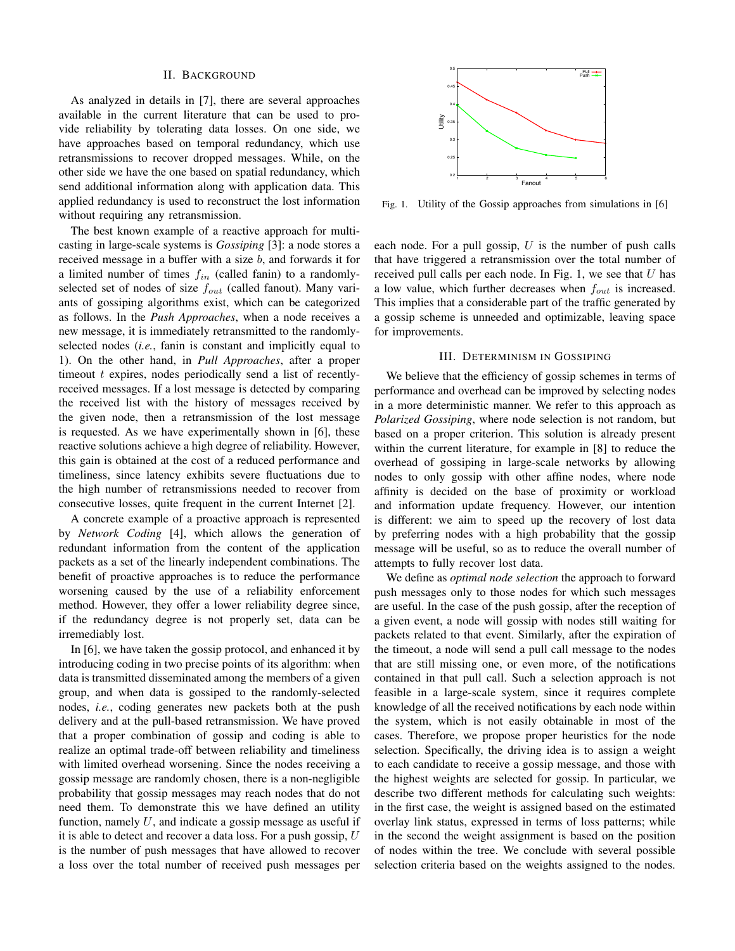#### II. BACKGROUND

As analyzed in details in [7], there are several approaches available in the current literature that can be used to provide reliability by tolerating data losses. On one side, we have approaches based on temporal redundancy, which use retransmissions to recover dropped messages. While, on the other side we have the one based on spatial redundancy, which send additional information along with application data. This applied redundancy is used to reconstruct the lost information without requiring any retransmission.

The best known example of a reactive approach for multicasting in large-scale systems is *Gossiping* [3]: a node stores a received message in a buffer with a size b, and forwards it for a limited number of times  $f_{in}$  (called fanin) to a randomlyselected set of nodes of size  $f_{out}$  (called fanout). Many variants of gossiping algorithms exist, which can be categorized as follows. In the *Push Approaches*, when a node receives a new message, it is immediately retransmitted to the randomlyselected nodes (*i.e.*, fanin is constant and implicitly equal to 1). On the other hand, in *Pull Approaches*, after a proper timeout  $t$  expires, nodes periodically send a list of recentlyreceived messages. If a lost message is detected by comparing the received list with the history of messages received by the given node, then a retransmission of the lost message is requested. As we have experimentally shown in [6], these reactive solutions achieve a high degree of reliability. However, this gain is obtained at the cost of a reduced performance and timeliness, since latency exhibits severe fluctuations due to the high number of retransmissions needed to recover from consecutive losses, quite frequent in the current Internet [2].

A concrete example of a proactive approach is represented by *Network Coding* [4], which allows the generation of redundant information from the content of the application packets as a set of the linearly independent combinations. The benefit of proactive approaches is to reduce the performance worsening caused by the use of a reliability enforcement method. However, they offer a lower reliability degree since, if the redundancy degree is not properly set, data can be irremediably lost.

In [6], we have taken the gossip protocol, and enhanced it by introducing coding in two precise points of its algorithm: when data is transmitted disseminated among the members of a given group, and when data is gossiped to the randomly-selected nodes, *i.e.*, coding generates new packets both at the push delivery and at the pull-based retransmission. We have proved that a proper combination of gossip and coding is able to realize an optimal trade-off between reliability and timeliness with limited overhead worsening. Since the nodes receiving a gossip message are randomly chosen, there is a non-negligible probability that gossip messages may reach nodes that do not need them. To demonstrate this we have defined an utility function, namely  $U$ , and indicate a gossip message as useful if it is able to detect and recover a data loss. For a push gossip,  $U$ is the number of push messages that have allowed to recover a loss over the total number of received push messages per



Fig. 1. Utility of the Gossip approaches from simulations in [6]

each node. For a pull gossip,  $U$  is the number of push calls that have triggered a retransmission over the total number of received pull calls per each node. In Fig. 1, we see that  $U$  has a low value, which further decreases when  $f_{out}$  is increased. This implies that a considerable part of the traffic generated by a gossip scheme is unneeded and optimizable, leaving space for improvements.

### III. DETERMINISM IN GOSSIPING

We believe that the efficiency of gossip schemes in terms of performance and overhead can be improved by selecting nodes in a more deterministic manner. We refer to this approach as *Polarized Gossiping*, where node selection is not random, but based on a proper criterion. This solution is already present within the current literature, for example in [8] to reduce the overhead of gossiping in large-scale networks by allowing nodes to only gossip with other affine nodes, where node affinity is decided on the base of proximity or workload and information update frequency. However, our intention is different: we aim to speed up the recovery of lost data by preferring nodes with a high probability that the gossip message will be useful, so as to reduce the overall number of attempts to fully recover lost data.

We define as *optimal node selection* the approach to forward push messages only to those nodes for which such messages are useful. In the case of the push gossip, after the reception of a given event, a node will gossip with nodes still waiting for packets related to that event. Similarly, after the expiration of the timeout, a node will send a pull call message to the nodes that are still missing one, or even more, of the notifications contained in that pull call. Such a selection approach is not feasible in a large-scale system, since it requires complete knowledge of all the received notifications by each node within the system, which is not easily obtainable in most of the cases. Therefore, we propose proper heuristics for the node selection. Specifically, the driving idea is to assign a weight to each candidate to receive a gossip message, and those with the highest weights are selected for gossip. In particular, we describe two different methods for calculating such weights: in the first case, the weight is assigned based on the estimated overlay link status, expressed in terms of loss patterns; while in the second the weight assignment is based on the position of nodes within the tree. We conclude with several possible selection criteria based on the weights assigned to the nodes.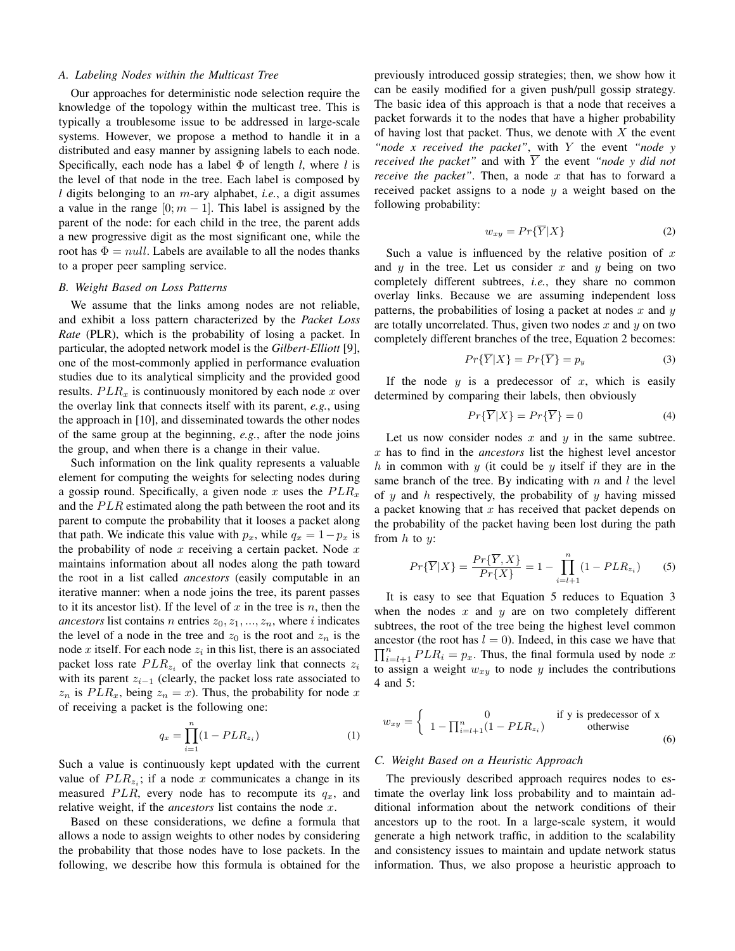#### *A. Labeling Nodes within the Multicast Tree*

Our approaches for deterministic node selection require the knowledge of the topology within the multicast tree. This is typically a troublesome issue to be addressed in large-scale systems. However, we propose a method to handle it in a distributed and easy manner by assigning labels to each node. Specifically, each node has a label Φ of length *l*, where *l* is the level of that node in the tree. Each label is composed by *l* digits belonging to an m-ary alphabet, *i.e.*, a digit assumes a value in the range  $[0; m - 1]$ . This label is assigned by the parent of the node: for each child in the tree, the parent adds a new progressive digit as the most significant one, while the root has  $\Phi = null$ . Labels are available to all the nodes thanks to a proper peer sampling service.

#### *B. Weight Based on Loss Patterns*

We assume that the links among nodes are not reliable, and exhibit a loss pattern characterized by the *Packet Loss Rate* (PLR), which is the probability of losing a packet. In particular, the adopted network model is the *Gilbert-Elliott* [9], one of the most-commonly applied in performance evaluation studies due to its analytical simplicity and the provided good results.  $PLR_x$  is continuously monitored by each node x over the overlay link that connects itself with its parent, *e.g.*, using the approach in [10], and disseminated towards the other nodes of the same group at the beginning, *e.g.*, after the node joins the group, and when there is a change in their value.

Such information on the link quality represents a valuable element for computing the weights for selecting nodes during a gossip round. Specifically, a given node x uses the  $PLR_x$ and the  $PLR$  estimated along the path between the root and its parent to compute the probability that it looses a packet along that path. We indicate this value with  $p_x$ , while  $q_x = 1-p_x$  is the probability of node  $x$  receiving a certain packet. Node  $x$ maintains information about all nodes along the path toward the root in a list called *ancestors* (easily computable in an iterative manner: when a node joins the tree, its parent passes to it its ancestor list). If the level of  $x$  in the tree is  $n$ , then the *ancestors* list contains *n* entries  $z_0, z_1, ..., z_n$ , where *i* indicates the level of a node in the tree and  $z_0$  is the root and  $z_n$  is the node x itself. For each node  $z_i$  in this list, there is an associated packet loss rate  $PLR_{z_i}$  of the overlay link that connects  $z_i$ with its parent  $z_{i-1}$  (clearly, the packet loss rate associated to  $z_n$  is  $PLR_x$ , being  $z_n = x$ ). Thus, the probability for node x of receiving a packet is the following one:

$$
q_x = \prod_{i=1}^n (1 - PLR_{z_i})
$$
 (1)

Such a value is continuously kept updated with the current value of  $PLR_{z_i}$ ; if a node x communicates a change in its measured PLR, every node has to recompute its  $q_x$ , and relative weight, if the *ancestors* list contains the node x.

Based on these considerations, we define a formula that allows a node to assign weights to other nodes by considering the probability that those nodes have to lose packets. In the following, we describe how this formula is obtained for the

previously introduced gossip strategies; then, we show how it can be easily modified for a given push/pull gossip strategy. The basic idea of this approach is that a node that receives a packet forwards it to the nodes that have a higher probability of having lost that packet. Thus, we denote with  $X$  the event *"node x received the packet"*, with Y the event *"node y received the packet*" and with  $\overline{Y}$  the event *"node y did not receive the packet"*. Then, a node  $x$  that has to forward a received packet assigns to a node  $y$  a weight based on the following probability:

$$
w_{xy} = Pr\{Y|X\} \tag{2}
$$

Such a value is influenced by the relative position of  $x$ and  $y$  in the tree. Let us consider  $x$  and  $y$  being on two completely different subtrees, *i.e.*, they share no common overlay links. Because we are assuming independent loss patterns, the probabilities of losing a packet at nodes  $x$  and  $y$ are totally uncorrelated. Thus, given two nodes  $x$  and  $y$  on two completely different branches of the tree, Equation 2 becomes:

$$
Pr{\overline{Y}|X} = Pr{\overline{Y}} = p_y \tag{3}
$$

If the node  $y$  is a predecessor of  $x$ , which is easily determined by comparing their labels, then obviously

$$
Pr{\overline{Y}|X} = Pr{\overline{Y}} = 0 \tag{4}
$$

Let us now consider nodes  $x$  and  $y$  in the same subtree. x has to find in the *ancestors* list the highest level ancestor h in common with y (it could be y itself if they are in the same branch of the tree. By indicating with  $n$  and  $l$  the level of  $y$  and  $h$  respectively, the probability of  $y$  having missed a packet knowing that  $x$  has received that packet depends on the probability of the packet having been lost during the path from  $h$  to  $y$ :

$$
Pr{\overline{Y}|X} = \frac{Pr{\overline{Y}, X}}{Pr{X}} = 1 - \prod_{i=l+1}^{n} (1 - PLR_{z_i})
$$
 (5)

It is easy to see that Equation 5 reduces to Equation 3 when the nodes  $x$  and  $y$  are on two completely different subtrees, the root of the tree being the highest level common ancestor (the root has  $l = 0$ ). Indeed, in this case we have that  $\prod_{i=l+1}^{n} PLR_i = p_x$ . Thus, the final formula used by node x to assign a weight  $w_{xy}$  to node y includes the contributions 4 and 5:

$$
w_{xy} = \begin{cases} 0 & \text{if } y \text{ is predecessor of x} \\ 1 - \prod_{i=l+1}^{n} (1 - PLR_{z_i}) & \text{otherwise} \end{cases}
$$
 (6)

#### *C. Weight Based on a Heuristic Approach*

The previously described approach requires nodes to estimate the overlay link loss probability and to maintain additional information about the network conditions of their ancestors up to the root. In a large-scale system, it would generate a high network traffic, in addition to the scalability and consistency issues to maintain and update network status information. Thus, we also propose a heuristic approach to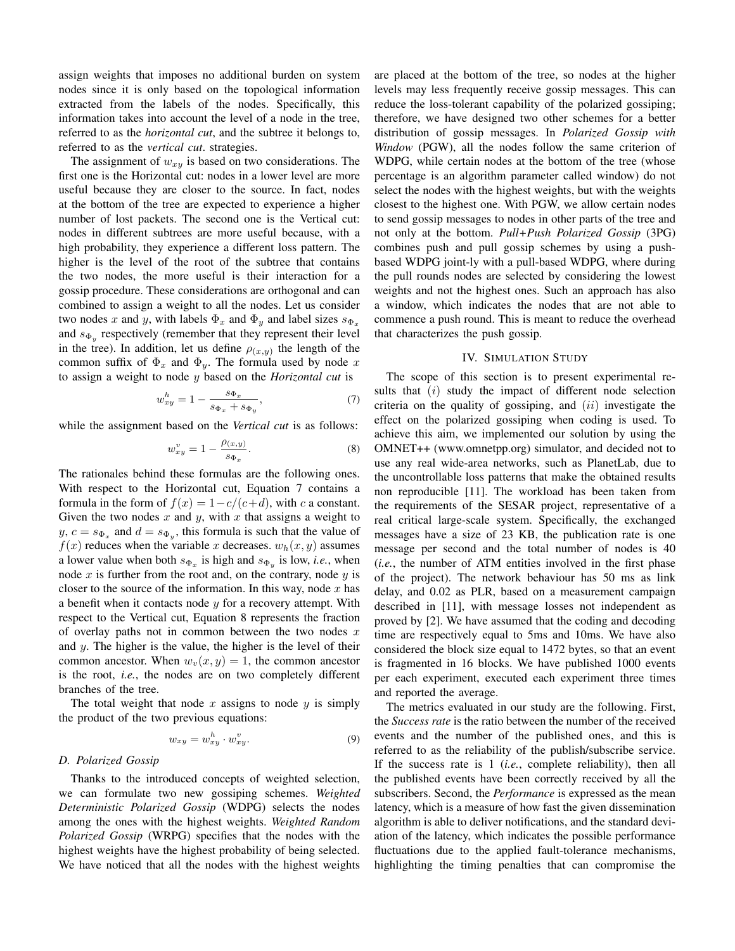assign weights that imposes no additional burden on system nodes since it is only based on the topological information extracted from the labels of the nodes. Specifically, this information takes into account the level of a node in the tree, referred to as the *horizontal cut*, and the subtree it belongs to, referred to as the *vertical cut*. strategies.

The assignment of  $w_{xy}$  is based on two considerations. The first one is the Horizontal cut: nodes in a lower level are more useful because they are closer to the source. In fact, nodes at the bottom of the tree are expected to experience a higher number of lost packets. The second one is the Vertical cut: nodes in different subtrees are more useful because, with a high probability, they experience a different loss pattern. The higher is the level of the root of the subtree that contains the two nodes, the more useful is their interaction for a gossip procedure. These considerations are orthogonal and can combined to assign a weight to all the nodes. Let us consider two nodes x and y, with labels  $\Phi_x$  and  $\Phi_y$  and label sizes  $s_{\Phi_x}$ and  $s_{\Phi_y}$  respectively (remember that they represent their level in the tree). In addition, let us define  $\rho_{(x,y)}$  the length of the common suffix of  $\Phi_x$  and  $\Phi_y$ . The formula used by node x to assign a weight to node y based on the *Horizontal cut* is

$$
w_{xy}^h = 1 - \frac{s_{\Phi_x}}{s_{\Phi_x} + s_{\Phi_y}},\tag{7}
$$

while the assignment based on the *Vertical cut* is as follows:

$$
w_{xy}^v = 1 - \frac{\rho_{(x,y)}}{s_{\Phi_x}}.\t(8)
$$

The rationales behind these formulas are the following ones. With respect to the Horizontal cut, Equation 7 contains a formula in the form of  $f(x) = 1 - c/(c+d)$ , with c a constant. Given the two nodes  $x$  and  $y$ , with  $x$  that assigns a weight to  $y, c = s_{\Phi_x}$  and  $d = s_{\Phi_y}$ , this formula is such that the value of  $f(x)$  reduces when the variable x decreases.  $w_h(x, y)$  assumes a lower value when both  $s_{\Phi_x}$  is high and  $s_{\Phi_y}$  is low, *i.e.*, when node  $x$  is further from the root and, on the contrary, node  $y$  is closer to the source of the information. In this way, node  $x$  has a benefit when it contacts node  $y$  for a recovery attempt. With respect to the Vertical cut, Equation 8 represents the fraction of overlay paths not in common between the two nodes  $x$ and  $y$ . The higher is the value, the higher is the level of their common ancestor. When  $w_y(x, y) = 1$ , the common ancestor is the root, *i.e.*, the nodes are on two completely different branches of the tree.

The total weight that node x assigns to node y is simply the product of the two previous equations:

$$
w_{xy} = w_{xy}^h \cdot w_{xy}^v. \tag{9}
$$

## *D. Polarized Gossip*

Thanks to the introduced concepts of weighted selection, we can formulate two new gossiping schemes. *Weighted Deterministic Polarized Gossip* (WDPG) selects the nodes among the ones with the highest weights. *Weighted Random Polarized Gossip* (WRPG) specifies that the nodes with the highest weights have the highest probability of being selected. We have noticed that all the nodes with the highest weights are placed at the bottom of the tree, so nodes at the higher levels may less frequently receive gossip messages. This can reduce the loss-tolerant capability of the polarized gossiping; therefore, we have designed two other schemes for a better distribution of gossip messages. In *Polarized Gossip with Window* (PGW), all the nodes follow the same criterion of WDPG, while certain nodes at the bottom of the tree (whose percentage is an algorithm parameter called window) do not select the nodes with the highest weights, but with the weights closest to the highest one. With PGW, we allow certain nodes to send gossip messages to nodes in other parts of the tree and not only at the bottom. *Pull+Push Polarized Gossip* (3PG) combines push and pull gossip schemes by using a pushbased WDPG joint-ly with a pull-based WDPG, where during the pull rounds nodes are selected by considering the lowest weights and not the highest ones. Such an approach has also a window, which indicates the nodes that are not able to commence a push round. This is meant to reduce the overhead that characterizes the push gossip.

## IV. SIMULATION STUDY

The scope of this section is to present experimental results that  $(i)$  study the impact of different node selection criteria on the quality of gossiping, and  $(ii)$  investigate the effect on the polarized gossiping when coding is used. To achieve this aim, we implemented our solution by using the OMNET++ (www.omnetpp.org) simulator, and decided not to use any real wide-area networks, such as PlanetLab, due to the uncontrollable loss patterns that make the obtained results non reproducible [11]. The workload has been taken from the requirements of the SESAR project, representative of a real critical large-scale system. Specifically, the exchanged messages have a size of 23 KB, the publication rate is one message per second and the total number of nodes is 40 (*i.e.*, the number of ATM entities involved in the first phase of the project). The network behaviour has 50 ms as link delay, and 0.02 as PLR, based on a measurement campaign described in [11], with message losses not independent as proved by [2]. We have assumed that the coding and decoding time are respectively equal to 5ms and 10ms. We have also considered the block size equal to 1472 bytes, so that an event is fragmented in 16 blocks. We have published 1000 events per each experiment, executed each experiment three times and reported the average.

The metrics evaluated in our study are the following. First, the *Success rate* is the ratio between the number of the received events and the number of the published ones, and this is referred to as the reliability of the publish/subscribe service. If the success rate is 1 (*i.e.*, complete reliability), then all the published events have been correctly received by all the subscribers. Second, the *Performance* is expressed as the mean latency, which is a measure of how fast the given dissemination algorithm is able to deliver notifications, and the standard deviation of the latency, which indicates the possible performance fluctuations due to the applied fault-tolerance mechanisms, highlighting the timing penalties that can compromise the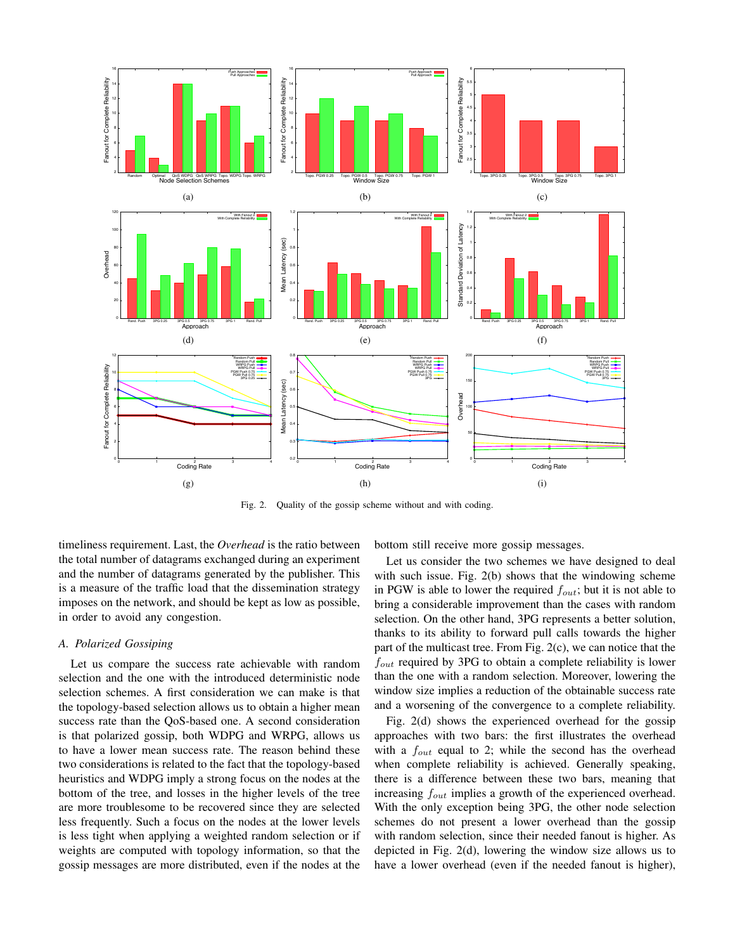

Fig. 2. Quality of the gossip scheme without and with coding.

timeliness requirement. Last, the *Overhead* is the ratio between the total number of datagrams exchanged during an experiment and the number of datagrams generated by the publisher. This is a measure of the traffic load that the dissemination strategy imposes on the network, and should be kept as low as possible, in order to avoid any congestion.

# *A. Polarized Gossiping*

Let us compare the success rate achievable with random selection and the one with the introduced deterministic node selection schemes. A first consideration we can make is that the topology-based selection allows us to obtain a higher mean success rate than the QoS-based one. A second consideration is that polarized gossip, both WDPG and WRPG, allows us to have a lower mean success rate. The reason behind these two considerations is related to the fact that the topology-based heuristics and WDPG imply a strong focus on the nodes at the bottom of the tree, and losses in the higher levels of the tree are more troublesome to be recovered since they are selected less frequently. Such a focus on the nodes at the lower levels is less tight when applying a weighted random selection or if weights are computed with topology information, so that the gossip messages are more distributed, even if the nodes at the bottom still receive more gossip messages.

Let us consider the two schemes we have designed to deal with such issue. Fig. 2(b) shows that the windowing scheme in PGW is able to lower the required  $f_{out}$ ; but it is not able to bring a considerable improvement than the cases with random selection. On the other hand, 3PG represents a better solution, thanks to its ability to forward pull calls towards the higher part of the multicast tree. From Fig. 2(c), we can notice that the  $f_{out}$  required by 3PG to obtain a complete reliability is lower than the one with a random selection. Moreover, lowering the window size implies a reduction of the obtainable success rate and a worsening of the convergence to a complete reliability.

Fig. 2(d) shows the experienced overhead for the gossip approaches with two bars: the first illustrates the overhead with a  $f_{out}$  equal to 2; while the second has the overhead when complete reliability is achieved. Generally speaking, there is a difference between these two bars, meaning that increasing  $f_{out}$  implies a growth of the experienced overhead. With the only exception being 3PG, the other node selection schemes do not present a lower overhead than the gossip with random selection, since their needed fanout is higher. As depicted in Fig. 2(d), lowering the window size allows us to have a lower overhead (even if the needed fanout is higher),